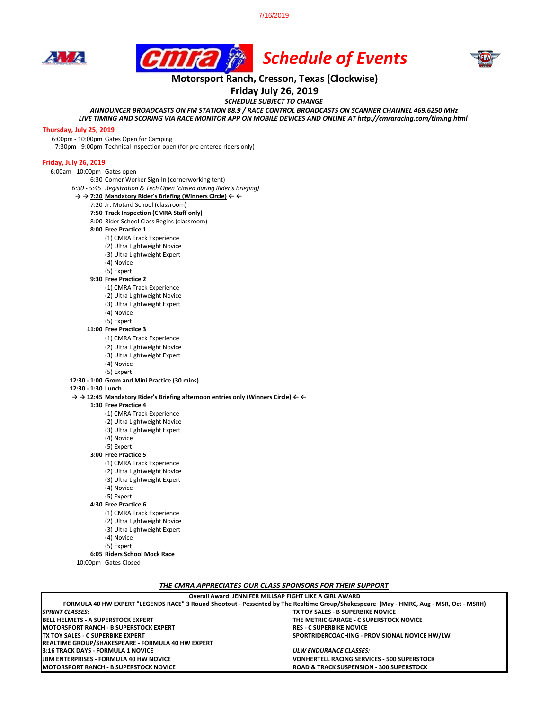7/16/2019







## **Motorsport Ranch, Cresson, Texas (Clockwise)**

**Friday July 26, 2019**

*SCHEDULE SUBJECT TO CHANGE*

*ANNOUNCER BROADCASTS ON FM STATION 88.9 / RACE CONTROL BROADCASTS ON SCANNER CHANNEL 469.6250 MHz*

*LIVE TIMING AND SCORING VIA RACE MONITOR APP ON MOBILE DEVICES AND ONLINE AT http://cmraracing.com/timing.html* 

#### **Thursday, July 25, 2019**

6:00pm - 10:00pm Gates Open for Camping

7:30pm - 9:00pm Technical Inspection open (for pre entered riders only)

#### **Friday, July 26, 2019**

6:00am - 10:00pm Gates open

6:30 Corner Worker Sign-In (cornerworking tent) *6:30 - 5:45 Registration & Tech Open (closed during Rider's Briefing)* **→ → 7:20 Mandatory Rider's Briefing (Winners Circle) ← ←** 7:20 Jr. Motard School (classroom) **7:50 Track Inspection (CMRA Staff only)** 8:00 Rider School Class Begins (classroom) **8:00 Free Practice 1**  (1) CMRA Track Experience (2) Ultra Lightweight Novice

(3) Ultra Lightweight Expert

(4) Novice

(5) Expert

**9:30 Free Practice 2** 

(1) CMRA Track Experience

(2) Ultra Lightweight Novice

(3) Ultra Lightweight Expert

(4) Novice

(5) Expert

### **11:00 Free Practice 3**

(1) CMRA Track Experience

(2) Ultra Lightweight Novice

(3) Ultra Lightweight Expert

(4) Novice

(5) Expert **12:30 - 1:00 Grom and Mini Practice (30 mins)**

**12:30 - 1:30 Lunch**

**→ → 12:45 Mandatory Rider's Briefing afternoon entries only (Winners Circle) ← ←**

**1:30 Free Practice 4** 

(1) CMRA Track Experience

(2) Ultra Lightweight Novice

(3) Ultra Lightweight Expert

(4) Novice

(5) Expert

**3:00 Free Practice 5**

(1) CMRA Track Experience (2) Ultra Lightweight Novice

(3) Ultra Lightweight Expert

(4) Novice

(5) Expert

**4:30 Free Practice 6**

(1) CMRA Track Experience (2) Ultra Lightweight Novice

(3) Ultra Lightweight Expert

(4) Novice

(5) Expert

**6:05 Riders School Mock Race**

10:00pm Gates Closed

*THE CMRA APPRECIATES OUR CLASS SPONSORS FOR THEIR SUPPORT*

| Overall Award: JENNIFER MILLSAP FIGHT LIKE A GIRL AWARD                                                                                |                                                     |
|----------------------------------------------------------------------------------------------------------------------------------------|-----------------------------------------------------|
| FORMULA 40 HW EXPERT "LEGENDS RACE" 3 Round Shootout - Pessented by The Realtime Group/Shakespeare (May - HMRC, Aug - MSR, Oct - MSRH) |                                                     |
| <b>SPRINT CLASSES:</b>                                                                                                                 | TX TOY SALES - B SUPERBIKE NOVICE                   |
| <b>IBELL HELMETS - A SUPERSTOCK EXPERT</b>                                                                                             | THE METRIC GARAGE - C SUPERSTOCK NOVICE             |
| IMOTORSPORT RANCH - B SUPERSTOCK EXPERT                                                                                                | <b>RES - C SUPERBIKE NOVICE</b>                     |
| TX TOY SALES - C SUPERBIKE EXPERT                                                                                                      | SPORTRIDERCOACHING - PROVISIONAL NOVICE HW/LW       |
| REALTIME GROUP/SHAKESPEARE - FORMULA 40 HW EXPERT                                                                                      |                                                     |
| 3:16 TRACK DAYS - FORMULA 1 NOVICE                                                                                                     | ULW ENDURANCE CLASSES:                              |
| <b>IJBM ENTERPRISES - FORMULA 40 HW NOVICE</b>                                                                                         | <b>VONHERTELL RACING SERVICES - 500 SUPERSTOCK</b>  |
| IMOTORSPORT RANCH - B SUPERSTOCK NOVICE                                                                                                | <b>ROAD &amp; TRACK SUSPENSION - 300 SUPERSTOCK</b> |